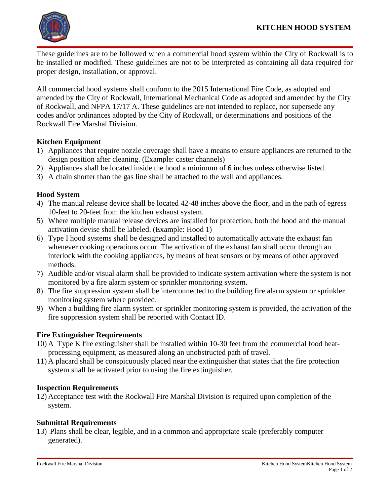

These guidelines are to be followed when a commercial hood system within the City of Rockwall is to be installed or modified. These guidelines are not to be interpreted as containing all data required for proper design, installation, or approval.

All commercial hood systems shall conform to the 2015 International Fire Code, as adopted and amended by the City of Rockwall, International Mechanical Code as adopted and amended by the City of Rockwall, and NFPA 17/17 A. These guidelines are not intended to replace, nor supersede any codes and/or ordinances adopted by the City of Rockwall, or determinations and positions of the Rockwall Fire Marshal Division.

# **Kitchen Equipment**

- 1) Appliances that require nozzle coverage shall have a means to ensure appliances are returned to the design position after cleaning. (Example: caster channels)
- 2) Appliances shall be located inside the hood a minimum of 6 inches unless otherwise listed.
- 3) A chain shorter than the gas line shall be attached to the wall and appliances.

# **Hood System**

- 4) The manual release device shall be located 42-48 inches above the floor, and in the path of egress 10-feet to 20-feet from the kitchen exhaust system.
- 5) Where multiple manual release devices are installed for protection, both the hood and the manual activation devise shall be labeled. (Example: Hood 1)
- 6) Type I hood systems shall be designed and installed to automatically activate the exhaust fan whenever cooking operations occur. The activation of the exhaust fan shall occur through an interlock with the cooking appliances, by means of heat sensors or by means of other approved methods.
- 7) Audible and/or visual alarm shall be provided to indicate system activation where the system is not monitored by a fire alarm system or sprinkler monitoring system.
- 8) The fire suppression system shall be interconnected to the building fire alarm system or sprinkler monitoring system where provided.
- 9) When a building fire alarm system or sprinkler monitoring system is provided, the activation of the fire suppression system shall be reported with Contact ID.

## **Fire Extinguisher Requirements**

- 10) A Type K fire extinguisher shall be installed within 10-30 feet from the commercial food heatprocessing equipment, as measured along an unobstructed path of travel.
- 11) A placard shall be conspicuously placed near the extinguisher that states that the fire protection system shall be activated prior to using the fire extinguisher.

## **Inspection Requirements**

12) Acceptance test with the Rockwall Fire Marshal Division is required upon completion of the system.

## **Submittal Requirements**

13) Plans shall be clear, legible, and in a common and appropriate scale (preferably computer generated).